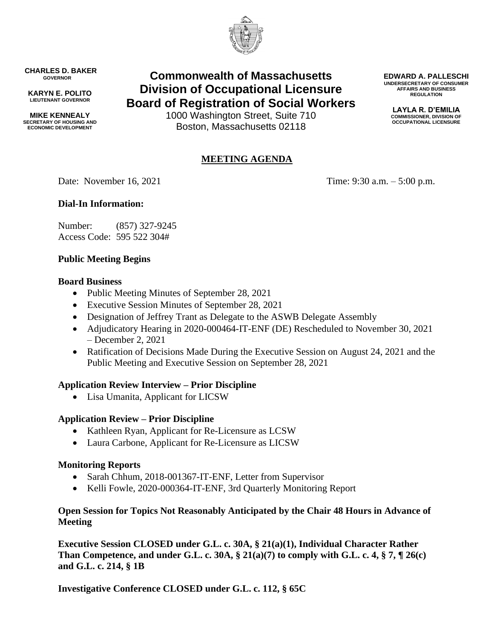

**CHARLES D. BAKER GOVERNOR**

**KARYN E. POLITO LIEUTENANT GOVERNOR**

**MIKE KENNEALY SECRETARY OF HOUSING AND ECONOMIC DEVELOPMENT**

# **Commonwealth of Massachusetts Division of Occupational Licensure Board of Registration of Social Workers**

1000 Washington Street, Suite 710 Boston, Massachusetts 02118

## **MEETING AGENDA**

**COMMISSIONER, DIVISION OF OCCUPATIONAL LICENSURE**

**EDWARD A. PALLESCHI UNDERSECRETARY OF CONSUMER AFFAIRS AND BUSINESS REGULATION LAYLA R. D'EMILIA**

Date: November 16, 2021 Time: 9:30 a.m. – 5:00 p.m.

## **Dial-In Information:**

Number: (857) 327-9245 Access Code: 595 522 304#

#### **Public Meeting Begins**

#### **Board Business**

- Public Meeting Minutes of September 28, 2021
- Executive Session Minutes of September 28, 2021
- Designation of Jeffrey Trant as Delegate to the ASWB Delegate Assembly
- Adjudicatory Hearing in 2020-000464-IT-ENF (DE) Rescheduled to November 30, 2021 – December 2, 2021
- Ratification of Decisions Made During the Executive Session on August 24, 2021 and the Public Meeting and Executive Session on September 28, 2021

#### **Application Review Interview – Prior Discipline**

• Lisa Umanita, Applicant for LICSW

### **Application Review – Prior Discipline**

- Kathleen Ryan, Applicant for Re-Licensure as LCSW
- Laura Carbone, Applicant for Re-Licensure as LICSW

#### **Monitoring Reports**

- Sarah Chhum, 2018-001367-IT-ENF, Letter from Supervisor
- Kelli Fowle, 2020-000364-IT-ENF, 3rd Quarterly Monitoring Report

#### **Open Session for Topics Not Reasonably Anticipated by the Chair 48 Hours in Advance of Meeting**

**Executive Session CLOSED under G.L. c. 30A, § 21(a)(1), Individual Character Rather Than Competence, and under G.L. c. 30A, § 21(a)(7) to comply with G.L. c. 4, § 7, ¶ 26(c) and G.L. c. 214, § 1B**

**Investigative Conference CLOSED under G.L. c. 112, § 65C**